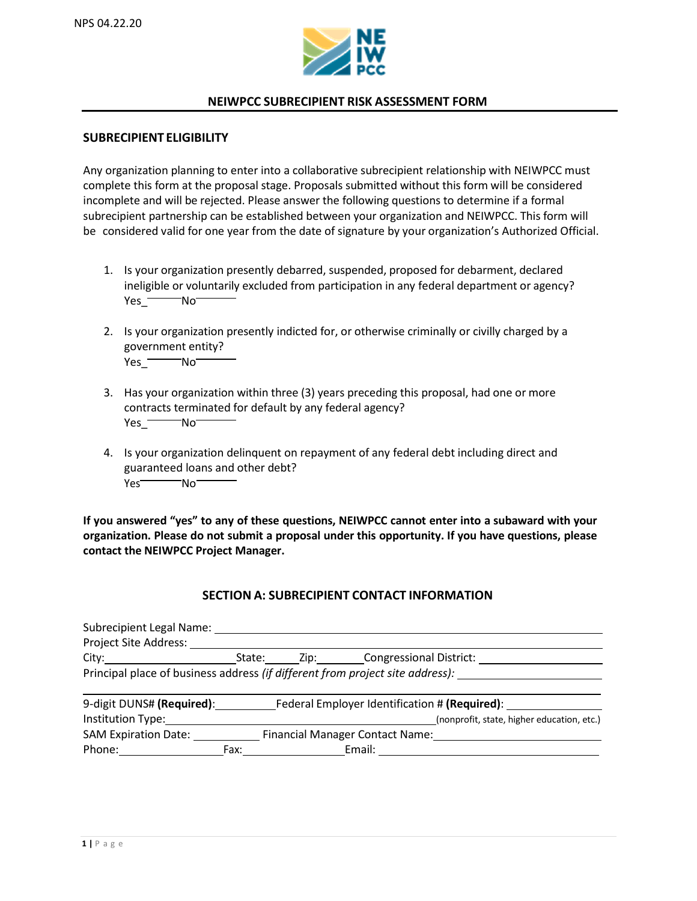

## **NEIWPCC SUBRECIPIENT RISK ASSESSMENT FORM**

### **SUBRECIPIENT ELIGIBILITY**

Any organization planning to enter into a collaborative subrecipient relationship with NEIWPCC must complete this form at the proposal stage. Proposals submitted without this form will be considered incomplete and will be rejected. Please answer the following questions to determine if a formal subrecipient partnership can be established between your organization and NEIWPCC. This form will be considered valid for one year from the date of signature by your organization's Authorized Official.

- 1. Is your organization presently debarred, suspended, proposed for debarment, declared ineligible or voluntarily excluded from participation in any federal department or agency? Yes<sup>-No-</sup>
- 2. Is your organization presently indicted for, or otherwise criminally or civilly charged by a government entity? Yes\_**Was**No
- 3. Has your organization within three (3) years preceding this proposal, had one or more contracts terminated for default by any federal agency? Yes<sup>-</sup>No
- 4. Is your organization delinquent on repayment of any federal debt including direct and guaranteed loans and other debt? Yes<sup>Wo</sup>No

**If you answered "yes" to any of these questions, NEIWPCC cannot enter into a subaward with your organization. Please do not submit a proposal under this opportunity. If you have questions, please contact the NEIWPCC Project Manager.**

## **SECTION A: SUBRECIPIENT CONTACT INFORMATION**

| Subrecipient Legal Name:                                                      |      |                                     |                                            |
|-------------------------------------------------------------------------------|------|-------------------------------------|--------------------------------------------|
| Project Site Address:                                                         |      |                                     |                                            |
|                                                                               |      | State: Zip: Congressional District: |                                            |
| Principal place of business address (if different from project site address): |      |                                     |                                            |
| 9-digit DUNS# (Required): Federal Employer Identification # (Required):       |      |                                     |                                            |
| Institution Type:                                                             |      |                                     | (nonprofit, state, higher education, etc.) |
| <b>SAM Expiration Date:</b>                                                   |      |                                     | Financial Manager Contact Name:            |
| Phone:                                                                        | Fax: | Email:                              |                                            |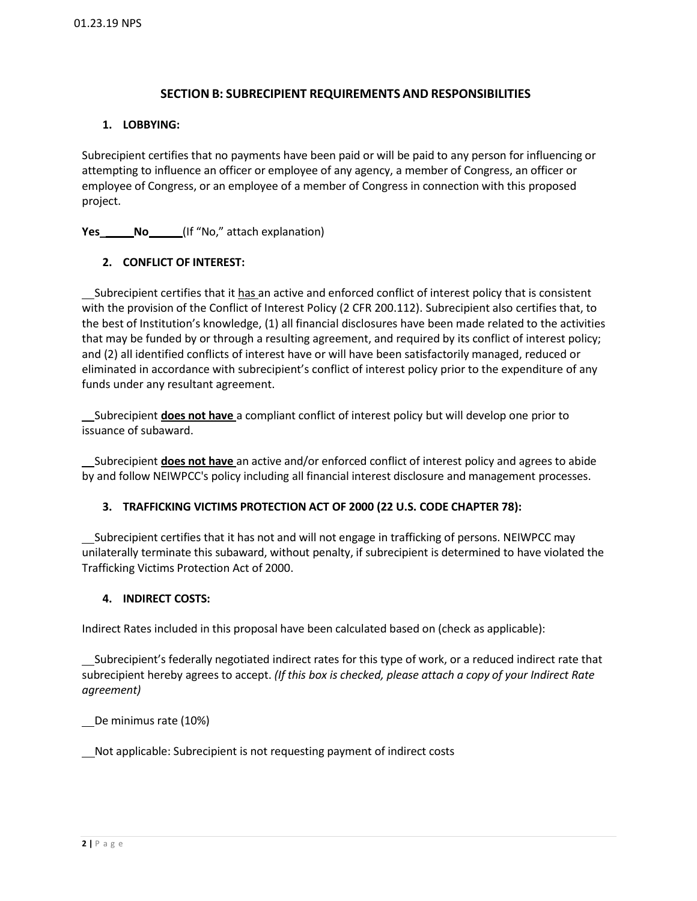# **SECTION B: SUBRECIPIENT REQUIREMENTS AND RESPONSIBILITIES**

## **1. LOBBYING:**

Subrecipient certifies that no payments have been paid or will be paid to any person for influencing or attempting to influence an officer or employee of any agency, a member of Congress, an officer or employee of Congress, or an employee of a member of Congress in connection with this proposed project.

**Yes\_\_\_\_\_\_No\_\_\_\_\_\_(If "No," attach explanation)** 

# **2. CONFLICT OF INTEREST:**

Subrecipient certifies that it has an active and enforced conflict of interest policy that is consistent with the provision of the Conflict of Interest Policy (2 CFR 200.112). Subrecipient also certifies that, to the best of Institution's knowledge, (1) all financial disclosures have been made related to the activities that may be funded by or through a resulting agreement, and required by its conflict of interest policy; and (2) all identified conflicts of interest have or will have been satisfactorily managed, reduced or eliminated in accordance with subrecipient's conflict of interest policy prior to the expenditure of any funds under any resultant agreement.

 Subrecipient **does not have** a compliant conflict of interest policy but will develop one prior to issuance of subaward.

 Subrecipient **does not have** an active and/or enforced conflict of interest policy and agrees to abide by and follow NEIWPCC's policy including all financial interest disclosure and management processes.

## **3. TRAFFICKING VICTIMS PROTECTION ACT OF 2000 (22 U.S. CODE CHAPTER 78):**

 Subrecipient certifies that it has not and will not engage in trafficking of persons. NEIWPCC may unilaterally terminate this subaward, without penalty, if subrecipient is determined to have violated the Trafficking Victims Protection Act of 2000.

## **4. INDIRECT COSTS:**

Indirect Rates included in this proposal have been calculated based on (check as applicable):

 Subrecipient's federally negotiated indirect rates for this type of work, or a reduced indirect rate that subrecipient hereby agrees to accept. *(If this box is checked, please attach a copy of your Indirect Rate agreement)*

De minimus rate (10%)

Not applicable: Subrecipient is not requesting payment of indirect costs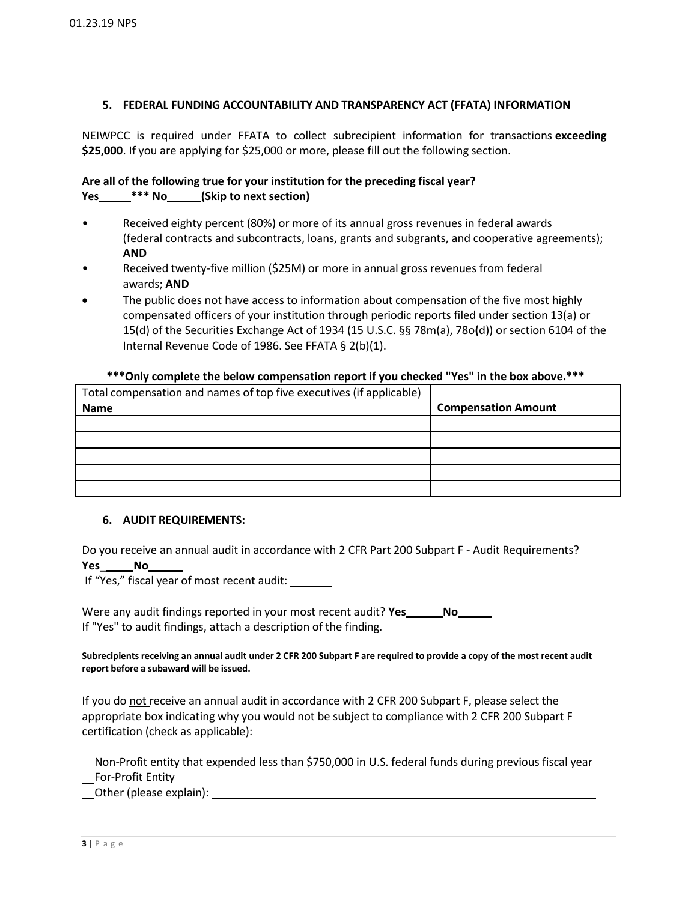### **5. FEDERAL FUNDING ACCOUNTABILITY AND TRANSPARENCY ACT (FFATA) INFORMATION**

NEIWPCC is required under FFATA to collect subrecipient information for transactions **exceeding \$25,000**. If you are applying for \$25,000 or more, please fill out the following section.

### **Are all of the following true for your institution for the preceding fiscal year? Yes \*\*\* No (Skip to next section)**

- Received eighty percent (80%) or more of its annual gross revenues in federal awards (federal contracts and subcontracts, loans, grants and subgrants, and cooperative agreements); **AND**
- Received twenty-five million (\$25M) or more in annual gross revenues from federal awards; **AND**
- The public does not have access to information about compensation of the five most highly compensated officers of your institution through periodic reports filed under section 13(a) or 15(d) of the Securities Exchange Act of 1934 (15 U.S.C. §§ 78m(a), 78o**(**d)) or section 6104 of the Internal Revenue Code of 1986. See FFATA § 2(b)(1).

#### **\*\*\*Only complete the below compensation report if you checked "Yes" in the box above.\*\*\***

| Total compensation and names of top five executives (if applicable) |                            |
|---------------------------------------------------------------------|----------------------------|
| <b>Name</b>                                                         | <b>Compensation Amount</b> |
|                                                                     |                            |
|                                                                     |                            |
|                                                                     |                            |
|                                                                     |                            |
|                                                                     |                            |

#### **6. AUDIT REQUIREMENTS:**

Do you receive an annual audit in accordance with 2 CFR Part 200 Subpart F - Audit Requirements? **Yes\_ No** 

If "Yes," fiscal year of most recent audit:

Were any audit findings reported in your most recent audit? **Yes No** If "Yes" to audit findings, attach a description of the finding.

**Subrecipients receiving an annual audit under 2 CFR 200 Subpart F are required to provide a copy of the most recent audit report before a subaward will be issued.**

If you do not receive an annual audit in accordance with 2 CFR 200 Subpart F, please select the appropriate box indicating why you would not be subject to compliance with 2 CFR 200 Subpart F certification (check as applicable):

 Non-Profit entity that expended less than \$750,000 in U.S. federal funds during previous fiscal year For-Profit Entity

Other (please explain):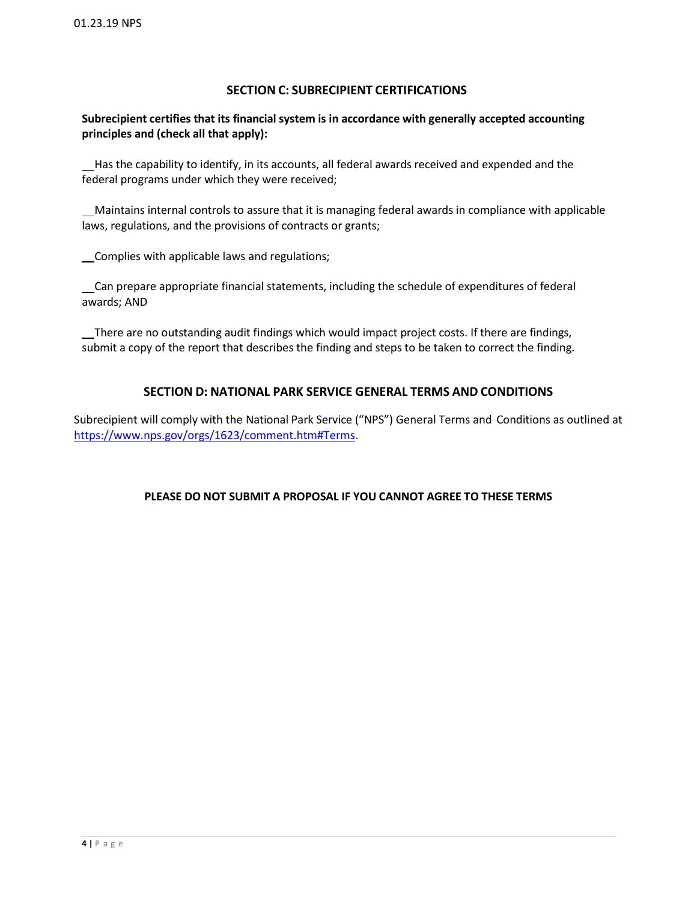# **SECTION C: SUBRECIPIENT CERTIFICATIONS**

# **Subrecipient certifies that its financial system is in accordance with generally accepted accounting principles and (check all that apply):**

 Has the capability to identify, in its accounts, all federal awards received and expended and the federal programs under which they were received;

 Maintains internal controls to assure that it is managing federal awards in compliance with applicable laws, regulations, and the provisions of contracts or grants;

Complies with applicable laws and regulations;

 Can prepare appropriate financial statements, including the schedule of expenditures of federal awards; AND

 There are no outstanding audit findings which would impact project costs. If there are findings, submit a copy of the report that describes the finding and steps to be taken to correct the finding.

# **SECTION D: NATIONAL PARK SERVICE GENERAL TERMS AND CONDITIONS**

Subrecipient will comply with the National Park Service ("NPS") General Terms and Conditions as outlined at [https://www.nps.gov/orgs/1623/comment.htm#Terms.](https://www.nps.gov/orgs/1623/comment.htm#Terms)

## **PLEASE DO NOT SUBMIT A PROPOSAL IF YOU CANNOT AGREE TO THESE TERMS**